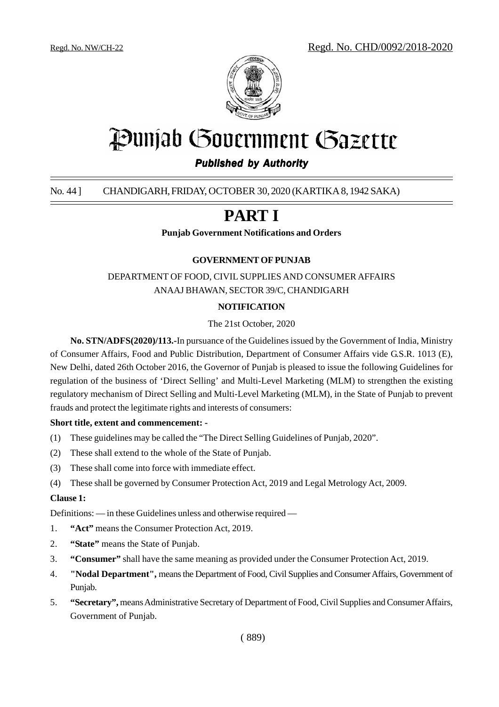

# Punjab Government Gazette

#### *Published by Authority*

#### No. 44 ] CHANDIGARH, FRIDAY, OCTOBER 30, 2020 (KARTIKA 8, 1942 SAKA)

## **PART I**

**Punjab Government Notifications and Orders**

#### **GOVERNMENT OF PUNJAB**

DEPARTMENT OF FOOD, CIVIL SUPPLIES AND CONSUMER AFFAIRS ANAAJ BHAWAN, SECTOR 39/C, CHANDIGARH

#### **NOTIFICATION**

#### The 21st October, 2020

**No. STN/ADFS(2020)/113.-**In pursuance of the Guidelines issued by the Government of India, Ministry of Consumer Affairs, Food and Public Distribution, Department of Consumer Affairs vide G.S.R. 1013 (E), New Delhi, dated 26th October 2016, the Governor of Punjab is pleased to issue the following Guidelines for regulation of the business of 'Direct Selling' and Multi-Level Marketing (MLM) to strengthen the existing regulatory mechanism of Direct Selling and Multi-Level Marketing (MLM), in the State of Punjab to prevent frauds and protect the legitimate rights and interests of consumers:

#### **Short title, extent and commencement: -**

- (1) These guidelines may be called the "The Direct Selling Guidelines of Punjab, 2020".
- (2) These shall extend to the whole of the State of Punjab.
- (3) These shall come into force with immediate effect.
- (4) These shall be governed by Consumer Protection Act, 2019 and Legal Metrology Act, 2009.

#### **Clause 1:**

Definitions: — in these Guidelines unless and otherwise required —

- 1. **"Act"** means the Consumer Protection Act, 2019.
- 2. **"State"** means the State of Punjab.
- 3. **"Consumer"** shall have the same meaning as provided under the Consumer Protection Act, 2019.
- 4. **"Nodal Department",** means the Department of Food, Civil Supplies and Consumer Affairs, Government of Punjab.
- 5. **"Secretary",** means Administrative Secretary of Department of Food, Civil Supplies and Consumer Affairs, Government of Punjab.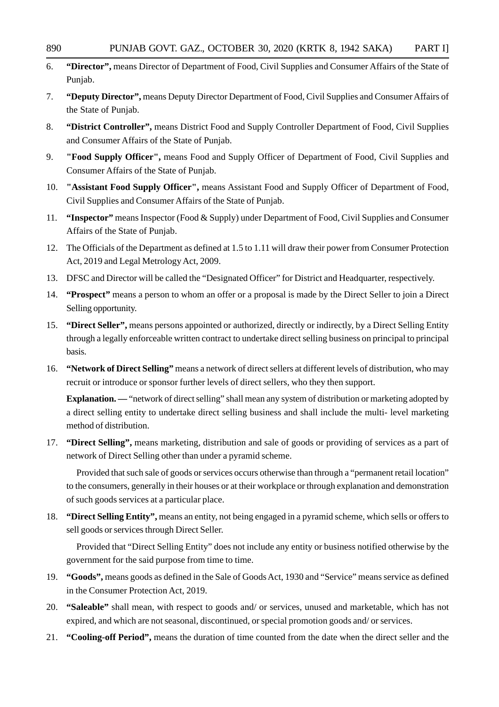- 6. **"Director",** means Director of Department of Food, Civil Supplies and Consumer Affairs of the State of Punjab.
- 7. **"Deputy Director",** means Deputy Director Department of Food, Civil Supplies and Consumer Affairs of the State of Punjab.
- 8. **"District Controller",** means District Food and Supply Controller Department of Food, Civil Supplies and Consumer Affairs of the State of Punjab.
- 9. **"Food Supply Officer",** means Food and Supply Officer of Department of Food, Civil Supplies and Consumer Affairs of the State of Punjab.
- 10. **"Assistant Food Supply Officer",** means Assistant Food and Supply Officer of Department of Food, Civil Supplies and Consumer Affairs of the State of Punjab.
- 11. **"Inspector"** means Inspector (Food & Supply) under Department of Food, Civil Supplies and Consumer Affairs of the State of Punjab.
- 12. The Officials of the Department as defined at 1.5 to 1.11 will draw their power from Consumer Protection Act, 2019 and Legal Metrology Act, 2009.
- 13. DFSC and Director will be called the "Designated Officer" for District and Headquarter, respectively.
- 14. **"Prospect"** means a person to whom an offer or a proposal is made by the Direct Seller to join a Direct Selling opportunity.
- 15. **"Direct Seller",** means persons appointed or authorized, directly or indirectly, by a Direct Selling Entity through a legally enforceable written contract to undertake direct selling business on principal to principal basis.
- 16. **"Network of Direct Selling"** means a network of direct sellers at different levels of distribution, who may recruit or introduce or sponsor further levels of direct sellers, who they then support.

**Explanation.** — "network of direct selling" shall mean any system of distribution or marketing adopted by a direct selling entity to undertake direct selling business and shall include the multi- level marketing method of distribution.

17. **"Direct Selling",** means marketing, distribution and sale of goods or providing of services as a part of network of Direct Selling other than under a pyramid scheme.

Provided that such sale of goods or services occurs otherwise than through a "permanent retail location" to the consumers, generally in their houses or at their workplace or through explanation and demonstration of such goods services at a particular place.

18. **"Direct Selling Entity",** means an entity, not being engaged in a pyramid scheme, which sells or offers to sell goods or services through Direct Seller.

Provided that "Direct Selling Entity" does not include any entity or business notified otherwise by the government for the said purpose from time to time.

- 19. **"Goods",** means goods as defined in the Sale of Goods Act, 1930 and "Service" means service as defined in the Consumer Protection Act, 2019.
- 20. **"Saleable"** shall mean, with respect to goods and/ or services, unused and marketable, which has not expired, and which are not seasonal, discontinued, or special promotion goods and/ or services.
- 21. **"Cooling-off Period",** means the duration of time counted from the date when the direct seller and the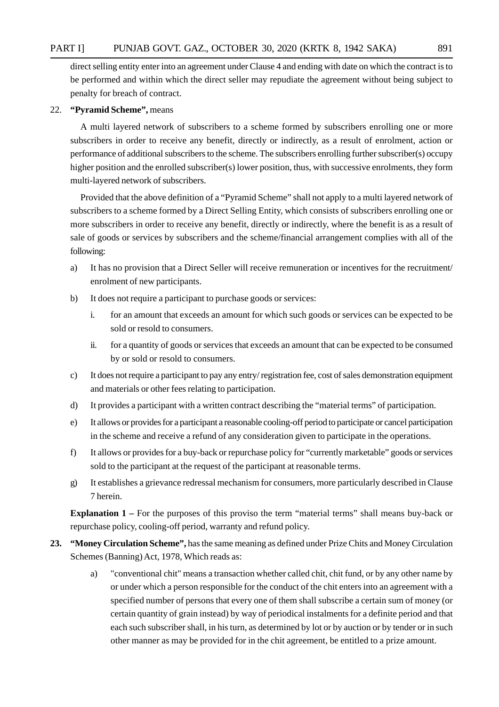#### PART I] PUNJAB GOVT. GAZ., OCTOBER 30, 2020 (KRTK 8, 1942 SAKA) 891

direct selling entity enter into an agreement under Clause 4 and ending with date on which the contract is to be performed and within which the direct seller may repudiate the agreement without being subject to penalty for breach of contract.

#### 22. **"Pyramid Scheme",** means

A multi layered network of subscribers to a scheme formed by subscribers enrolling one or more subscribers in order to receive any benefit, directly or indirectly, as a result of enrolment, action or performance of additional subscribers to the scheme. The subscribers enrolling further subscriber(s) occupy higher position and the enrolled subscriber(s) lower position, thus, with successive enrolments, they form multi-layered network of subscribers.

Provided that the above definition of a "Pyramid Scheme" shall not apply to a multi layered network of subscribers to a scheme formed by a Direct Selling Entity, which consists of subscribers enrolling one or more subscribers in order to receive any benefit, directly or indirectly, where the benefit is as a result of sale of goods or services by subscribers and the scheme/financial arrangement complies with all of the following:

- a) It has no provision that a Direct Seller will receive remuneration or incentives for the recruitment/ enrolment of new participants.
- b) It does not require a participant to purchase goods or services:
	- i. for an amount that exceeds an amount for which such goods or services can be expected to be sold or resold to consumers.
	- ii. for a quantity of goods or services that exceeds an amount that can be expected to be consumed by or sold or resold to consumers.
- c) It does not require a participant to pay any entry/ registration fee, cost of sales demonstration equipment and materials or other fees relating to participation.
- d) It provides a participant with a written contract describing the "material terms" of participation.
- e) It allows or provides for a participant a reasonable cooling-off period to participate or cancel participation in the scheme and receive a refund of any consideration given to participate in the operations.
- f) It allows or provides for a buy-back or repurchase policy for "currently marketable" goods or services sold to the participant at the request of the participant at reasonable terms.
- g) It establishes a grievance redressal mechanism for consumers, more particularly described in Clause 7 herein.

**Explanation 1** – For the purposes of this proviso the term "material terms" shall means buy-back or repurchase policy, cooling-off period, warranty and refund policy.

- **23. "Money Circulation Scheme",** has the same meaning as defined under Prize Chits and Money Circulation Schemes (Banning) Act, 1978, Which reads as:
	- a) "conventional chit" means a transaction whether called chit, chit fund, or by any other name by or under which a person responsible for the conduct of the chit enters into an agreement with a specified number of persons that every one of them shall subscribe a certain sum of money (or certain quantity of grain instead) by way of periodical instalments for a definite period and that each such subscriber shall, in his turn, as determined by lot or by auction or by tender or in such other manner as may be provided for in the chit agreement, be entitled to a prize amount.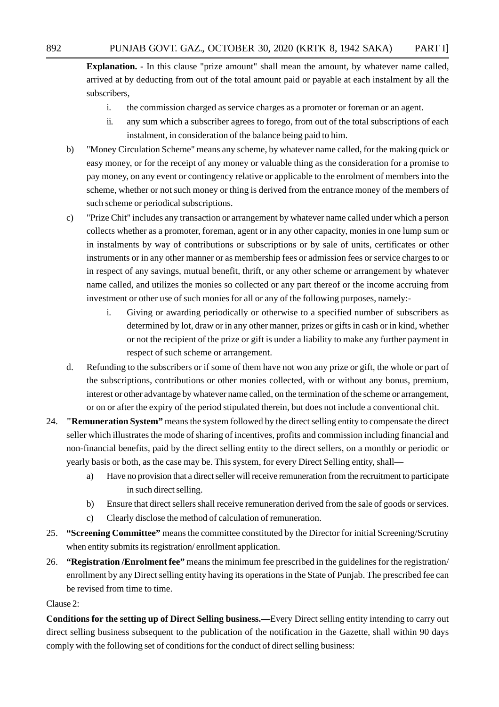**Explanation. -** In this clause "prize amount" shall mean the amount, by whatever name called, arrived at by deducting from out of the total amount paid or payable at each instalment by all the subscribers,

- i. the commission charged as service charges as a promoter or foreman or an agent.
- ii. any sum which a subscriber agrees to forego, from out of the total subscriptions of each instalment, in consideration of the balance being paid to him.
- b) "Money Circulation Scheme" means any scheme, by whatever name called, for the making quick or easy money, or for the receipt of any money or valuable thing as the consideration for a promise to pay money, on any event or contingency relative or applicable to the enrolment of members into the scheme, whether or not such money or thing is derived from the entrance money of the members of such scheme or periodical subscriptions.
- c) "Prize Chit" includes any transaction or arrangement by whatever name called under which a person collects whether as a promoter, foreman, agent or in any other capacity, monies in one lump sum or in instalments by way of contributions or subscriptions or by sale of units, certificates or other instruments or in any other manner or as membership fees or admission fees or service charges to or in respect of any savings, mutual benefit, thrift, or any other scheme or arrangement by whatever name called, and utilizes the monies so collected or any part thereof or the income accruing from investment or other use of such monies for all or any of the following purposes, namely:
	- i. Giving or awarding periodically or otherwise to a specified number of subscribers as determined by lot, draw or in any other manner, prizes or gifts in cash or in kind, whether or not the recipient of the prize or gift is under a liability to make any further payment in respect of such scheme or arrangement.
- d. Refunding to the subscribers or if some of them have not won any prize or gift, the whole or part of the subscriptions, contributions or other monies collected, with or without any bonus, premium, interest or other advantage by whatever name called, on the termination of the scheme or arrangement, or on or after the expiry of the period stipulated therein, but does not include a conventional chit.
- 24. **"Remuneration System"** means the system followed by the direct selling entity to compensate the direct seller which illustrates the mode of sharing of incentives, profits and commission including financial and non-financial benefits, paid by the direct selling entity to the direct sellers, on a monthly or periodic or yearly basis or both, as the case may be. This system, for every Direct Selling entity, shall
	- a) Have no provision that a direct seller will receive remuneration from the recruitment to participate in such direct selling.
	- b) Ensure that direct sellers shall receive remuneration derived from the sale of goods or services.
	- c) Clearly disclose the method of calculation of remuneration.
- 25. **"Screening Committee"** means the committee constituted by the Director for initial Screening/Scrutiny when entity submits its registration/ enrollment application.
- 26. **"Registration /Enrolment fee"** means the minimum fee prescribed in the guidelines for the registration/ enrollment by any Direct selling entity having its operations in the State of Punjab. The prescribed fee can be revised from time to time.

#### Clause 2:

**Conditions for the setting up of Direct Selling business.—**Every Direct selling entity intending to carry out direct selling business subsequent to the publication of the notification in the Gazette, shall within 90 days comply with the following set of conditions for the conduct of direct selling business: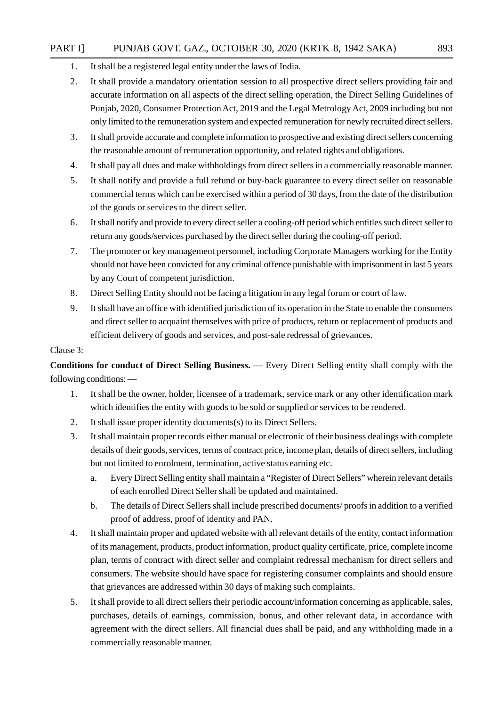#### PART I] PUNJAB GOVT. GAZ., OCTOBER 30, 2020 (KRTK 8, 1942 SAKA) 893

- 1. It shall be a registered legal entity under the laws of India.
- 2. It shall provide a mandatory orientation session to all prospective direct sellers providing fair and accurate information on all aspects of the direct selling operation, the Direct Selling Guidelines of Punjab, 2020, Consumer Protection Act, 2019 and the Legal Metrology Act, 2009 including but not only limited to the remuneration system and expected remuneration for newly recruited direct sellers.
- 3. It shall provide accurate and complete information to prospective and existing direct sellers concerning the reasonable amount of remuneration opportunity, and related rights and obligations.
- 4. It shall pay all dues and make withholdings from direct sellers in a commercially reasonable manner.
- 5. It shall notify and provide a full refund or buy-back guarantee to every direct seller on reasonable commercial terms which can be exercised within a period of 30 days, from the date of the distribution of the goods or services to the direct seller.
- 6. It shall notify and provide to every direct seller a cooling-off period which entitles such direct seller to return any goods/services purchased by the direct seller during the cooling-off period.
- 7. The promoter or key management personnel, including Corporate Managers working for the Entity should not have been convicted for any criminal offence punishable with imprisonment in last 5 years by any Court of competent jurisdiction.
- 8. Direct Selling Entity should not be facing a litigation in any legal forum or court of law.
- 9. It shall have an office with identified jurisdiction of its operation in the State to enable the consumers and direct seller to acquaint themselves with price of products, return or replacement of products and efficient delivery of goods and services, and post-sale redressal of grievances.

#### Clause 3:

**Conditions for conduct of Direct Selling Business. —** Every Direct Selling entity shall comply with the following conditions: —

- 1. It shall be the owner, holder, licensee of a trademark, service mark or any other identification mark which identifies the entity with goods to be sold or supplied or services to be rendered.
- 2. It shall issue proper identity documents(s) to its Direct Sellers.
- 3. It shall maintain proper records either manual or electronic of their business dealings with complete details of their goods, services, terms of contract price, income plan, details of direct sellers, including but not limited to enrolment, termination, active status earning etc.
	- a. Every Direct Selling entity shall maintain a "Register of Direct Sellers" wherein relevant details of each enrolled Direct Seller shall be updated and maintained.
	- b. The details of Direct Sellers shall include prescribed documents/ proofs in addition to a verified proof of address, proof of identity and PAN.
- 4. It shall maintain proper and updated website with all relevant details of the entity, contact information of its management, products, product information, product quality certificate, price, complete income plan, terms of contract with direct seller and complaint redressal mechanism for direct sellers and consumers. The website should have space for registering consumer complaints and should ensure that grievances are addressed within 30 days of making such complaints.
- 5. It shall provide to all direct sellers their periodic account/information concerning as applicable, sales, purchases, details of earnings, commission, bonus, and other relevant data, in accordance with agreement with the direct sellers. All financial dues shall be paid, and any withholding made in a commercially reasonable manner.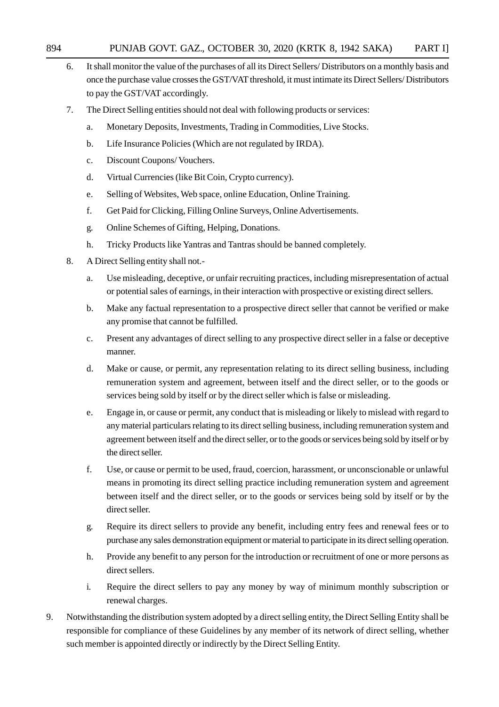- 6. It shall monitor the value of the purchases of all its Direct Sellers/ Distributors on a monthly basis and once the purchase value crosses the GST/VAT threshold, it must intimate its Direct Sellers/ Distributors to pay the GST/VAT accordingly.
- 7. The Direct Selling entities should not deal with following products or services:
	- a. Monetary Deposits, Investments, Trading in Commodities, Live Stocks.
	- b. Life Insurance Policies (Which are not regulated by IRDA).
	- c. Discount Coupons/ Vouchers.
	- d. Virtual Currencies (like Bit Coin, Crypto currency).
	- e. Selling of Websites, Web space, online Education, Online Training.
	- f. Get Paid for Clicking, Filling Online Surveys, Online Advertisements.
	- g. Online Schemes of Gifting, Helping, Donations.
	- h. Tricky Products like Yantras and Tantras should be banned completely.
- 8. A Direct Selling entity shall not.
	- a. Use misleading, deceptive, or unfair recruiting practices, including misrepresentation of actual or potential sales of earnings, in their interaction with prospective or existing direct sellers.
	- b. Make any factual representation to a prospective direct seller that cannot be verified or make any promise that cannot be fulfilled.
	- c. Present any advantages of direct selling to any prospective direct seller in a false or deceptive manner.
	- d. Make or cause, or permit, any representation relating to its direct selling business, including remuneration system and agreement, between itself and the direct seller, or to the goods or services being sold by itself or by the direct seller which is false or misleading.
	- e. Engage in, or cause or permit, any conduct that is misleading or likely to mislead with regard to any material particulars relating to its direct selling business, including remuneration system and agreement between itself and the direct seller, or to the goods or services being sold by itself or by the direct seller.
	- f. Use, or cause or permit to be used, fraud, coercion, harassment, or unconscionable or unlawful means in promoting its direct selling practice including remuneration system and agreement between itself and the direct seller, or to the goods or services being sold by itself or by the direct seller.
	- g. Require its direct sellers to provide any benefit, including entry fees and renewal fees or to purchase any sales demonstration equipment or material to participate in its direct selling operation.
	- h. Provide any benefit to any person for the introduction or recruitment of one or more persons as direct sellers.
	- i. Require the direct sellers to pay any money by way of minimum monthly subscription or renewal charges.
- 9. Notwithstanding the distribution system adopted by a direct selling entity, the Direct Selling Entity shall be responsible for compliance of these Guidelines by any member of its network of direct selling, whether such member is appointed directly or indirectly by the Direct Selling Entity.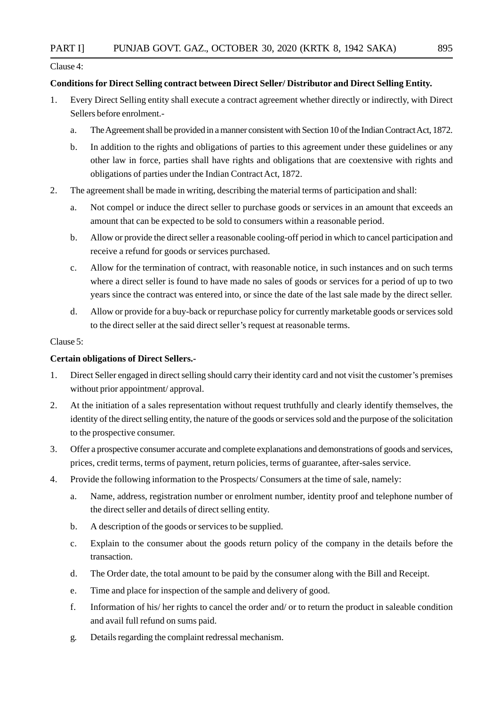Clause 4:

#### **Conditions for Direct Selling contract between Direct Seller/ Distributor and Direct Selling Entity.**

- 1. Every Direct Selling entity shall execute a contract agreement whether directly or indirectly, with Direct Sellers before enrolment.
	- a. The Agreement shall be provided in a manner consistent with Section 10 of the Indian Contract Act, 1872.
	- b. In addition to the rights and obligations of parties to this agreement under these guidelines or any other law in force, parties shall have rights and obligations that are coextensive with rights and obligations of parties under the Indian Contract Act, 1872.
- 2. The agreement shall be made in writing, describing the material terms of participation and shall:
	- a. Not compel or induce the direct seller to purchase goods or services in an amount that exceeds an amount that can be expected to be sold to consumers within a reasonable period.
	- b. Allow or provide the direct seller a reasonable cooling-off period in which to cancel participation and receive a refund for goods or services purchased.
	- c. Allow for the termination of contract, with reasonable notice, in such instances and on such terms where a direct seller is found to have made no sales of goods or services for a period of up to two years since the contract was entered into, or since the date of the last sale made by the direct seller.
	- d. Allow or provide for a buy-back or repurchase policy for currently marketable goods or services sold to the direct seller at the said direct seller's request at reasonable terms.

#### Clause 5:

#### **Certain obligations of Direct Sellers.-**

- 1. Direct Seller engaged in direct selling should carry their identity card and not visit the customer's premises without prior appointment/ approval.
- 2. At the initiation of a sales representation without request truthfully and clearly identify themselves, the identity of the direct selling entity, the nature of the goods or services sold and the purpose of the solicitation to the prospective consumer.
- 3. Offer a prospective consumer accurate and complete explanations and demonstrations of goods and services, prices, credit terms, terms of payment, return policies, terms of guarantee, after-sales service.
- 4. Provide the following information to the Prospects/ Consumers at the time of sale, namely:
	- a. Name, address, registration number or enrolment number, identity proof and telephone number of the direct seller and details of direct selling entity.
	- b. A description of the goods or services to be supplied.
	- c. Explain to the consumer about the goods return policy of the company in the details before the transaction.
	- d. The Order date, the total amount to be paid by the consumer along with the Bill and Receipt.
	- e. Time and place for inspection of the sample and delivery of good.
	- f. Information of his/ her rights to cancel the order and/ or to return the product in saleable condition and avail full refund on sums paid.
	- g. Details regarding the complaint redressal mechanism.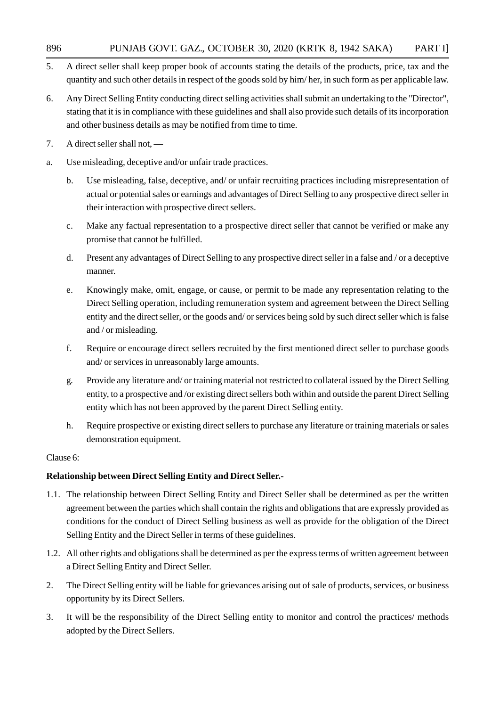- 5. A direct seller shall keep proper book of accounts stating the details of the products, price, tax and the quantity and such other details in respect of the goods sold by him/ her, in such form as per applicable law.
- 6. Any Direct Selling Entity conducting direct selling activities shall submit an undertaking to the "Director", stating that it is in compliance with these guidelines and shall also provide such details of its incorporation and other business details as may be notified from time to time.
- 7. A direct seller shall not, —
- a. Use misleading, deceptive and/or unfair trade practices.
	- b. Use misleading, false, deceptive, and/ or unfair recruiting practices including misrepresentation of actual or potential sales or earnings and advantages of Direct Selling to any prospective direct seller in their interaction with prospective direct sellers.
	- c. Make any factual representation to a prospective direct seller that cannot be verified or make any promise that cannot be fulfilled.
	- d. Present any advantages of Direct Selling to any prospective direct seller in a false and / or a deceptive manner.
	- e. Knowingly make, omit, engage, or cause, or permit to be made any representation relating to the Direct Selling operation, including remuneration system and agreement between the Direct Selling entity and the direct seller, or the goods and/ or services being sold by such direct seller which is false and / or misleading.
	- f. Require or encourage direct sellers recruited by the first mentioned direct seller to purchase goods and/ or services in unreasonably large amounts.
	- g. Provide any literature and/ or training material not restricted to collateral issued by the Direct Selling entity, to a prospective and /or existing direct sellers both within and outside the parent Direct Selling entity which has not been approved by the parent Direct Selling entity.
	- h. Require prospective or existing direct sellers to purchase any literature or training materials or sales demonstration equipment.

#### Clause 6:

#### **Relationship between Direct Selling Entity and Direct Seller.-**

- 1.1. The relationship between Direct Selling Entity and Direct Seller shall be determined as per the written agreement between the parties which shall contain the rights and obligations that are expressly provided as conditions for the conduct of Direct Selling business as well as provide for the obligation of the Direct Selling Entity and the Direct Seller in terms of these guidelines.
- 1.2. All other rights and obligations shall be determined as per the express terms of written agreement between a Direct Selling Entity and Direct Seller.
- 2. The Direct Selling entity will be liable for grievances arising out of sale of products, services, or business opportunity by its Direct Sellers.
- 3. It will be the responsibility of the Direct Selling entity to monitor and control the practices/ methods adopted by the Direct Sellers.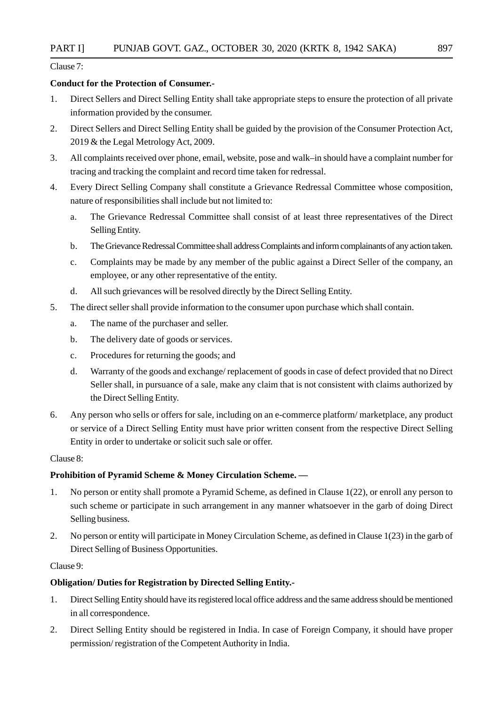Clause 7:

#### **Conduct for the Protection of Consumer.-**

- 1. Direct Sellers and Direct Selling Entity shall take appropriate steps to ensure the protection of all private information provided by the consumer.
- 2. Direct Sellers and Direct Selling Entity shall be guided by the provision of the Consumer Protection Act, 2019 & the Legal Metrology Act, 2009.
- 3. All complaints received over phone, email, website, pose and walk–in should have a complaint number for tracing and tracking the complaint and record time taken for redressal.
- 4. Every Direct Selling Company shall constitute a Grievance Redressal Committee whose composition, nature of responsibilities shall include but not limited to:
	- a. The Grievance Redressal Committee shall consist of at least three representatives of the Direct Selling Entity.
	- b. The Grievance Redressal Committee shall address Complaints and inform complainants of any action taken.
	- c. Complaints may be made by any member of the public against a Direct Seller of the company, an employee, or any other representative of the entity.
	- d. All such grievances will be resolved directly by the Direct Selling Entity.
- 5. The direct seller shall provide information to the consumer upon purchase which shall contain.
	- a. The name of the purchaser and seller.
	- b. The delivery date of goods or services.
	- c. Procedures for returning the goods; and
	- d. Warranty of the goods and exchange/ replacement of goods in case of defect provided that no Direct Seller shall, in pursuance of a sale, make any claim that is not consistent with claims authorized by the Direct Selling Entity.
- 6. Any person who sells or offers for sale, including on an e-commerce platform/ marketplace, any product or service of a Direct Selling Entity must have prior written consent from the respective Direct Selling Entity in order to undertake or solicit such sale or offer.

#### Clause 8:

#### **Prohibition of Pyramid Scheme & Money Circulation Scheme. —**

- 1. No person or entity shall promote a Pyramid Scheme, as defined in Clause 1(22), or enroll any person to such scheme or participate in such arrangement in any manner whatsoever in the garb of doing Direct Selling business.
- 2. No person or entity will participate in Money Circulation Scheme, as defined in Clause 1(23) in the garb of Direct Selling of Business Opportunities.

#### Clause 9:

#### **Obligation/ Duties for Registration by Directed Selling Entity.-**

- 1. Direct Selling Entity should have its registered local office address and the same address should be mentioned in all correspondence.
- 2. Direct Selling Entity should be registered in India. In case of Foreign Company, it should have proper permission/ registration of the Competent Authority in India.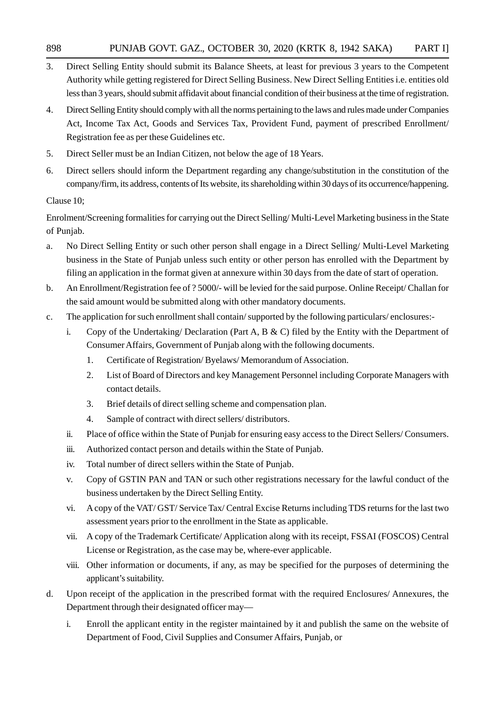- 3. Direct Selling Entity should submit its Balance Sheets, at least for previous 3 years to the Competent Authority while getting registered for Direct Selling Business. New Direct Selling Entities i.e. entities old less than 3 years, should submit affidavit about financial condition of their business at the time of registration.
- 4. Direct Selling Entity should comply with all the norms pertaining to the laws and rules made under Companies Act, Income Tax Act, Goods and Services Tax, Provident Fund, payment of prescribed Enrollment/ Registration fee as per these Guidelines etc.
- 5. Direct Seller must be an Indian Citizen, not below the age of 18 Years.
- 6. Direct sellers should inform the Department regarding any change/substitution in the constitution of the company/firm, its address, contents of Its website, its shareholding within 30 days of its occurrence/happening.

#### Clause 10;

Enrolment/Screening formalities for carrying out the Direct Selling/ Multi-Level Marketing business in the State of Punjab.

- a. No Direct Selling Entity or such other person shall engage in a Direct Selling/ Multi-Level Marketing business in the State of Punjab unless such entity or other person has enrolled with the Department by filing an application in the format given at annexure within 30 days from the date of start of operation.
- b. An Enrollment/Registration fee of ? 5000/- will be levied for the said purpose. Online Receipt/ Challan for the said amount would be submitted along with other mandatory documents.
- c. The application for such enrollment shall contain/ supported by the following particulars/ enclosures:
	- i. Copy of the Undertaking/ Declaration (Part A, B  $\&$  C) filed by the Entity with the Department of Consumer Affairs, Government of Punjab along with the following documents.
		- 1. Certificate of Registration/ Byelaws/ Memorandum of Association.
		- 2. List of Board of Directors and key Management Personnel including Corporate Managers with contact details.
		- 3. Brief details of direct selling scheme and compensation plan.
		- 4. Sample of contract with direct sellers/ distributors.
	- ii. Place of office within the State of Punjab for ensuring easy access to the Direct Sellers/ Consumers.
	- iii. Authorized contact person and details within the State of Punjab.
	- iv. Total number of direct sellers within the State of Punjab.
	- v. Copy of GSTIN PAN and TAN or such other registrations necessary for the lawful conduct of the business undertaken by the Direct Selling Entity.
	- vi. A copy of the VAT/ GST/ Service Tax/ Central Excise Returns including TDS returns for the last two assessment years prior to the enrollment in the State as applicable.
	- vii. A copy of the Trademark Certificate/ Application along with its receipt, FSSAI (FOSCOS) Central License or Registration, as the case may be, where-ever applicable.
	- viii. Other information or documents, if any, as may be specified for the purposes of determining the applicant's suitability.
- d. Upon receipt of the application in the prescribed format with the required Enclosures/ Annexures, the Department through their designated officer may
	- i. Enroll the applicant entity in the register maintained by it and publish the same on the website of Department of Food, Civil Supplies and Consumer Affairs, Punjab, or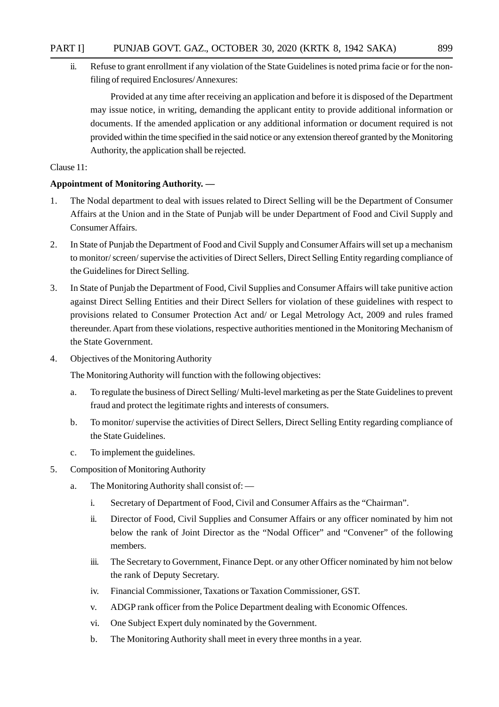ii. Refuse to grant enrollment if any violation of the State Guidelines is noted prima facie or for the nonfiling of required Enclosures/ Annexures:

Provided at any time after receiving an application and before it is disposed of the Department may issue notice, in writing, demanding the applicant entity to provide additional information or documents. If the amended application or any additional information or document required is not provided within the time specified in the said notice or any extension thereof granted by the Monitoring Authority, the application shall be rejected.

Clause 11:

#### **Appointment of Monitoring Authority. —**

- 1. The Nodal department to deal with issues related to Direct Selling will be the Department of Consumer Affairs at the Union and in the State of Punjab will be under Department of Food and Civil Supply and Consumer Affairs.
- 2. In State of Punjab the Department of Food and Civil Supply and Consumer Affairs will set up a mechanism to monitor/ screen/ supervise the activities of Direct Sellers, Direct Selling Entity regarding compliance of the Guidelines for Direct Selling.
- 3. In State of Punjab the Department of Food, Civil Supplies and Consumer Affairs will take punitive action against Direct Selling Entities and their Direct Sellers for violation of these guidelines with respect to provisions related to Consumer Protection Act and/ or Legal Metrology Act, 2009 and rules framed thereunder. Apart from these violations, respective authorities mentioned in the Monitoring Mechanism of the State Government.
- 4. Objectives of the Monitoring Authority

The Monitoring Authority will function with the following objectives:

- a. To regulate the business of Direct Selling/ Multi-level marketing as per the State Guidelines to prevent fraud and protect the legitimate rights and interests of consumers.
- b. To monitor/ supervise the activities of Direct Sellers, Direct Selling Entity regarding compliance of the State Guidelines.
- c. To implement the guidelines.
- 5. Composition of Monitoring Authority
	- a. The Monitoring Authority shall consist of:
		- i. Secretary of Department of Food, Civil and Consumer Affairs as the "Chairman".
		- ii. Director of Food, Civil Supplies and Consumer Affairs or any officer nominated by him not below the rank of Joint Director as the "Nodal Officer" and "Convener" of the following members.
		- iii. The Secretary to Government, Finance Dept. or any other Officer nominated by him not below the rank of Deputy Secretary.
		- iv. Financial Commissioner, Taxations or Taxation Commissioner, GST.
		- v. ADGP rank officer from the Police Department dealing with Economic Offences.
		- vi. One Subject Expert duly nominated by the Government.
		- b. The Monitoring Authority shall meet in every three months in a year.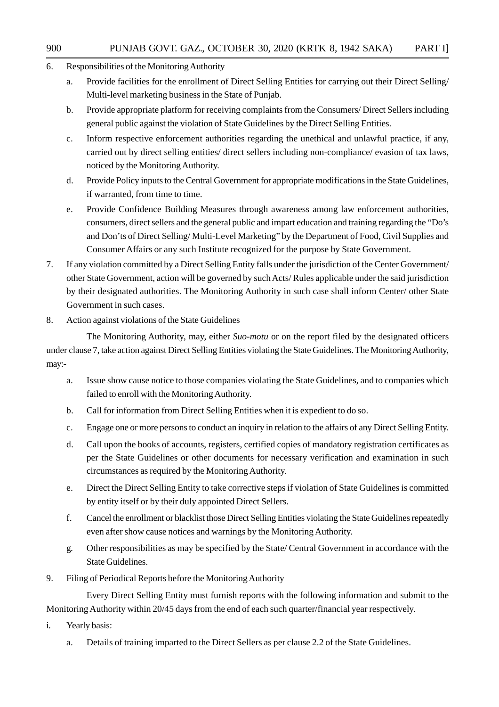- 6. Responsibilities of the Monitoring Authority
	- a. Provide facilities for the enrollment of Direct Selling Entities for carrying out their Direct Selling/ Multi-level marketing business in the State of Punjab.
	- b. Provide appropriate platform for receiving complaints from the Consumers/ Direct Sellers including general public against the violation of State Guidelines by the Direct Selling Entities.
	- c. Inform respective enforcement authorities regarding the unethical and unlawful practice, if any, carried out by direct selling entities/ direct sellers including non-compliance/ evasion of tax laws, noticed by the Monitoring Authority.
	- d. Provide Policy inputs to the Central Government for appropriate modifications in the State Guidelines, if warranted, from time to time.
	- e. Provide Confidence Building Measures through awareness among law enforcement authorities, consumers, direct sellers and the general public and impart education and training regarding the "Do's and Don'ts of Direct Selling/ Multi-Level Marketing" by the Department of Food, Civil Supplies and Consumer Affairs or any such Institute recognized for the purpose by State Government.
- 7. If any violation committed by a Direct Selling Entity falls under the jurisdiction of the Center Government/ other State Government, action will be governed by such Acts/ Rules applicable under the said jurisdiction by their designated authorities. The Monitoring Authority in such case shall inform Center/ other State Government in such cases.
- 8. Action against violations of the State Guidelines

The Monitoring Authority, may, either *Suo-motu* or on the report filed by the designated officers under clause 7, take action against Direct Selling Entities violating the State Guidelines. The Monitoring Authority, may:-

- a. Issue show cause notice to those companies violating the State Guidelines, and to companies which failed to enroll with the Monitoring Authority.
- b. Call for information from Direct Selling Entities when it is expedient to do so.
- c. Engage one or more persons to conduct an inquiry in relation to the affairs of any Direct Selling Entity.
- d. Call upon the books of accounts, registers, certified copies of mandatory registration certificates as per the State Guidelines or other documents for necessary verification and examination in such circumstances as required by the Monitoring Authority.
- e. Direct the Direct Selling Entity to take corrective steps if violation of State Guidelines is committed by entity itself or by their duly appointed Direct Sellers.
- f. Cancel the enrollment or blacklist those Direct Selling Entities violating the State Guidelines repeatedly even after show cause notices and warnings by the Monitoring Authority.
- g. Other responsibilities as may be specified by the State/ Central Government in accordance with the State Guidelines.
- 9. Filing of Periodical Reports before the Monitoring Authority

Every Direct Selling Entity must furnish reports with the following information and submit to the Monitoring Authority within 20/45 days from the end of each such quarter/financial year respectively.

- i. Yearly basis:
	- a. Details of training imparted to the Direct Sellers as per clause 2.2 of the State Guidelines.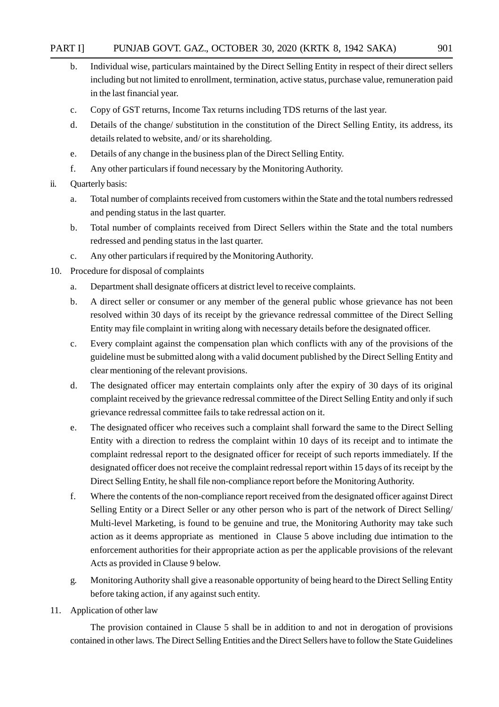#### PART I] PUNJAB GOVT. GAZ., OCTOBER 30, 2020 (KRTK 8, 1942 SAKA) 901

- b. Individual wise, particulars maintained by the Direct Selling Entity in respect of their direct sellers including but not limited to enrollment, termination, active status, purchase value, remuneration paid in the last financial year.
- c. Copy of GST returns, Income Tax returns including TDS returns of the last year.
- d. Details of the change/ substitution in the constitution of the Direct Selling Entity, its address, its details related to website, and/ or its shareholding.
- e. Details of any change in the business plan of the Direct Selling Entity.
- f. Any other particulars if found necessary by the Monitoring Authority.
- ii. Quarterly basis:
	- a. Total number of complaints received from customers within the State and the total numbers redressed and pending status in the last quarter.
	- b. Total number of complaints received from Direct Sellers within the State and the total numbers redressed and pending status in the last quarter.
	- c. Any other particulars if required by the Monitoring Authority.
- 10. Procedure for disposal of complaints
	- a. Department shall designate officers at district level to receive complaints.
	- b. A direct seller or consumer or any member of the general public whose grievance has not been resolved within 30 days of its receipt by the grievance redressal committee of the Direct Selling Entity may file complaint in writing along with necessary details before the designated officer.
	- c. Every complaint against the compensation plan which conflicts with any of the provisions of the guideline must be submitted along with a valid document published by the Direct Selling Entity and clear mentioning of the relevant provisions.
	- d. The designated officer may entertain complaints only after the expiry of 30 days of its original complaint received by the grievance redressal committee of the Direct Selling Entity and only if such grievance redressal committee fails to take redressal action on it.
	- e. The designated officer who receives such a complaint shall forward the same to the Direct Selling Entity with a direction to redress the complaint within 10 days of its receipt and to intimate the complaint redressal report to the designated officer for receipt of such reports immediately. If the designated officer does not receive the complaint redressal report within 15 days of its receipt by the Direct Selling Entity, he shall file non-compliance report before the Monitoring Authority.
	- f. Where the contents of the non-compliance report received from the designated officer against Direct Selling Entity or a Direct Seller or any other person who is part of the network of Direct Selling/ Multi-level Marketing, is found to be genuine and true, the Monitoring Authority may take such action as it deems appropriate as mentioned in Clause 5 above including due intimation to the enforcement authorities for their appropriate action as per the applicable provisions of the relevant Acts as provided in Clause 9 below.
	- g. Monitoring Authority shall give a reasonable opportunity of being heard to the Direct Selling Entity before taking action, if any against such entity.
- 11. Application of other law

The provision contained in Clause 5 shall be in addition to and not in derogation of provisions contained in other laws. The Direct Selling Entities and the Direct Sellers have to follow the State Guidelines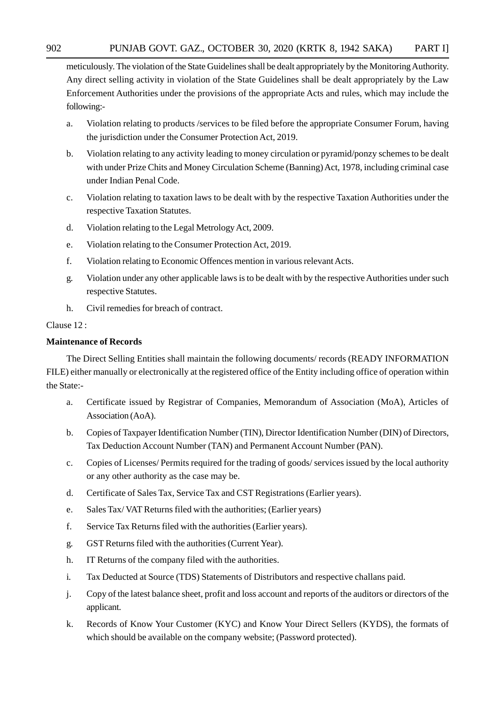meticulously. The violation of the State Guidelines shall be dealt appropriately by the Monitoring Authority. Any direct selling activity in violation of the State Guidelines shall be dealt appropriately by the Law Enforcement Authorities under the provisions of the appropriate Acts and rules, which may include the following:-

- a. Violation relating to products /services to be filed before the appropriate Consumer Forum, having the jurisdiction under the Consumer Protection Act, 2019.
- b. Violation relating to any activity leading to money circulation or pyramid/ponzy schemes to be dealt with under Prize Chits and Money Circulation Scheme (Banning) Act, 1978, including criminal case under Indian Penal Code.
- c. Violation relating to taxation laws to be dealt with by the respective Taxation Authorities under the respective Taxation Statutes.
- d. Violation relating to the Legal Metrology Act, 2009.
- e. Violation relating to the Consumer Protection Act, 2019.
- f. Violation relating to Economic Offences mention in various relevant Acts.
- g. Violation under any other applicable laws is to be dealt with by the respective Authorities under such respective Statutes.
- h. Civil remedies for breach of contract.

#### Clause 12 :

#### **Maintenance of Records**

The Direct Selling Entities shall maintain the following documents/ records (READY INFORMATION FILE) either manually or electronically at the registered office of the Entity including office of operation within the State:-

- a. Certificate issued by Registrar of Companies, Memorandum of Association (MoA), Articles of Association (AoA).
- b. Copies of Taxpayer Identification Number (TIN), Director Identification Number (DIN) of Directors, Tax Deduction Account Number (TAN) and Permanent Account Number (PAN).
- c. Copies of Licenses/ Permits required for the trading of goods/ services issued by the local authority or any other authority as the case may be.
- d. Certificate of Sales Tax, Service Tax and CST Registrations (Earlier years).
- e. Sales Tax/ VAT Returns filed with the authorities; (Earlier years)
- f. Service Tax Returns filed with the authorities (Earlier years).
- g. GST Returns filed with the authorities (Current Year).
- h. IT Returns of the company filed with the authorities.
- i. Tax Deducted at Source (TDS) Statements of Distributors and respective challans paid.
- j. Copy of the latest balance sheet, profit and loss account and reports of the auditors or directors of the applicant.
- k. Records of Know Your Customer (KYC) and Know Your Direct Sellers (KYDS), the formats of which should be available on the company website; (Password protected).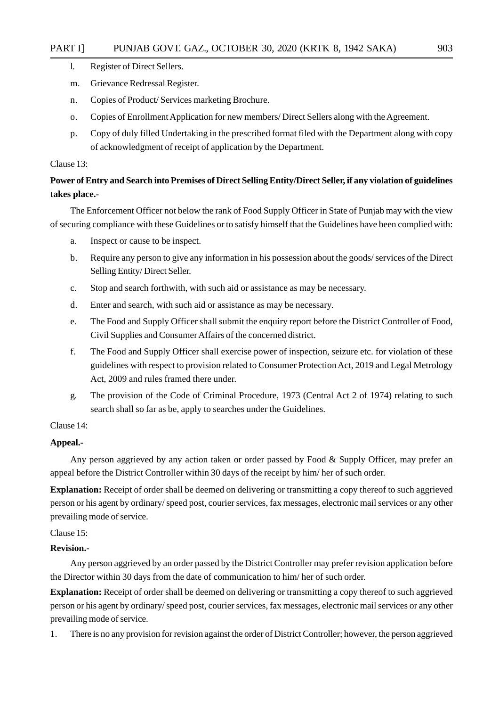- l. Register of Direct Sellers.
- m. Grievance Redressal Register.
- n. Copies of Product/ Services marketing Brochure.
- o. Copies of Enrollment Application for new members/ Direct Sellers along with the Agreement.
- p. Copy of duly filled Undertaking in the prescribed format filed with the Department along with copy of acknowledgment of receipt of application by the Department.

#### Clause 13:

#### **Power of Entry and Search into Premises of Direct Selling Entity/Direct Seller, if any violation of guidelines takes place.-**

The Enforcement Officer not below the rank of Food Supply Officer in State of Punjab may with the view of securing compliance with these Guidelines or to satisfy himself that the Guidelines have been complied with:

- a. Inspect or cause to be inspect.
- b. Require any person to give any information in his possession about the goods/ services of the Direct Selling Entity/ Direct Seller.
- c. Stop and search forthwith, with such aid or assistance as may be necessary.
- d. Enter and search, with such aid or assistance as may be necessary.
- e. The Food and Supply Officer shall submit the enquiry report before the District Controller of Food, Civil Supplies and Consumer Affairs of the concerned district.
- f. The Food and Supply Officer shall exercise power of inspection, seizure etc. for violation of these guidelines with respect to provision related to Consumer Protection Act, 2019 and Legal Metrology Act, 2009 and rules framed there under.
- g. The provision of the Code of Criminal Procedure, 1973 (Central Act 2 of 1974) relating to such search shall so far as be, apply to searches under the Guidelines.

#### Clause 14:

#### **Appeal.-**

Any person aggrieved by any action taken or order passed by Food & Supply Officer, may prefer an appeal before the District Controller within 30 days of the receipt by him/ her of such order.

**Explanation:** Receipt of order shall be deemed on delivering or transmitting a copy thereof to such aggrieved person or his agent by ordinary/ speed post, courier services, fax messages, electronic mail services or any other prevailing mode of service.

#### Clause 15:

#### **Revision.-**

Any person aggrieved by an order passed by the District Controller may prefer revision application before the Director within 30 days from the date of communication to him/ her of such order.

**Explanation:** Receipt of order shall be deemed on delivering or transmitting a copy thereof to such aggrieved person or his agent by ordinary/ speed post, courier services, fax messages, electronic mail services or any other prevailing mode of service.

1. There is no any provision for revision against the order of District Controller; however, the person aggrieved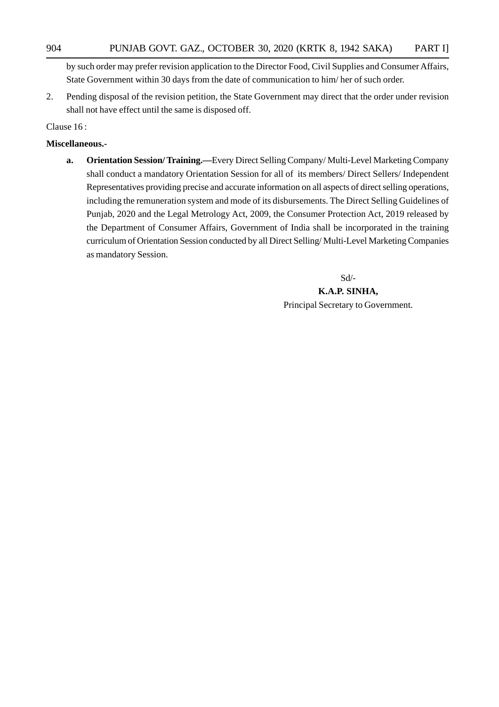by such order may prefer revision application to the Director Food, Civil Supplies and Consumer Affairs, State Government within 30 days from the date of communication to him/ her of such order.

2. Pending disposal of the revision petition, the State Government may direct that the order under revision shall not have effect until the same is disposed off.

Clause 16 :

#### **Miscellaneous.-**

**a. Orientation Session/ Training.—**Every Direct Selling Company/ Multi-Level Marketing Company shall conduct a mandatory Orientation Session for all of its members/ Direct Sellers/ Independent Representatives providing precise and accurate information on all aspects of direct selling operations, including the remuneration system and mode of its disbursements. The Direct Selling Guidelines of Punjab, 2020 and the Legal Metrology Act, 2009, the Consumer Protection Act, 2019 released by the Department of Consumer Affairs, Government of India shall be incorporated in the training curriculum of Orientation Session conducted by all Direct Selling/ Multi-Level Marketing Companies as mandatory Session.

Sd/-

**K.A.P. SINHA,** Principal Secretary to Government.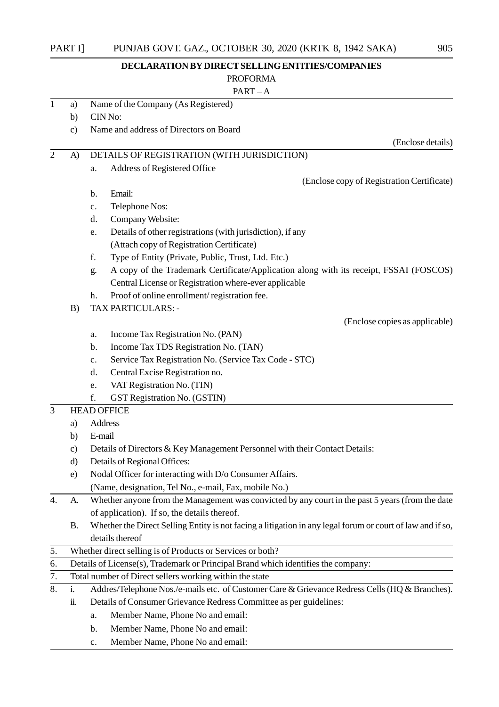| PART II | PUNJAB GOVT. GAZ., OCTOBER 30, 2020 (KRTK 8, 1942 SAKA) |                   |  |
|---------|---------------------------------------------------------|-------------------|--|
|         | DECLARATION BY DIRECT SELLING ENTITIES/COMPANIES        |                   |  |
|         | <b>PROFORMA</b>                                         |                   |  |
|         | $PART - A$                                              |                   |  |
| a)      | Name of the Company (As Registered)                     |                   |  |
| b)      | CIN No:                                                 |                   |  |
| C)      | Name and address of Directors on Board                  |                   |  |
|         |                                                         | (Enclose details) |  |
| A)      | DETAILS OF REGISTRATION (WITH JURISDICTION)             |                   |  |

a. Address of Registered Office (Enclose copy of Registration Certificate) b. Email: c. Telephone Nos: d. Company Website:

- e. Details of other registrations (with jurisdiction), if any (Attach copy of Registration Certificate)
- f. Type of Entity (Private, Public, Trust, Ltd. Etc.)
- g. A copy of the Trademark Certificate/Application along with its receipt, FSSAI (FOSCOS) Central License or Registration where-ever applicable

(Enclose copies as applicable)

- h. Proof of online enrollment/ registration fee.
- B) TAX PARTICULARS:
	- a. Income Tax Registration No. (PAN)
	- b. Income Tax TDS Registration No. (TAN)
	- c. Service Tax Registration No. (Service Tax Code STC)
	- d. Central Excise Registration no.
	- e. VAT Registration No. (TIN)
	- f. GST Registration No. (GSTIN)
- 3 HEAD OFFICE
	- a) Address
	- b) E-mail
	- c) Details of Directors & Key Management Personnel with their Contact Details:
	- d) Details of Regional Offices:
	- e) Nodal Officer for interacting with D/o Consumer Affairs.
		- (Name, designation, Tel No., e-mail, Fax, mobile No.)
- 4. A. Whether anyone from the Management was convicted by any court in the past 5 years (from the date of application). If so, the details thereof.
	- B. Whether the Direct Selling Entity is not facing a litigation in any legal forum or court of law and if so, details thereof
- 5. Whether direct selling is of Products or Services or both?
- 6. Details of License(s), Trademark or Principal Brand which identifies the company:
- 7. Total number of Direct sellers working within the state
- 8. i. Addres/Telephone Nos./e-mails etc. of Customer Care & Grievance Redress Cells (HQ & Branches).
	- ii. Details of Consumer Grievance Redress Committee as per guidelines:
		- a. Member Name, Phone No and email:
		- b. Member Name, Phone No and email:
		- c. Member Name, Phone No and email: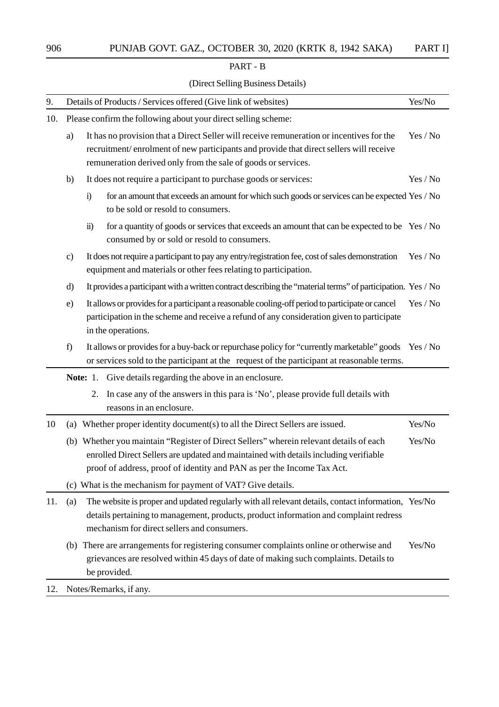#### PART - B

#### (Direct Selling Business Details)

| 9.  |                                                                | Details of Products / Services offered (Give link of websites)                                                                                                                                                                                           | Yes/No   |  |  |
|-----|----------------------------------------------------------------|----------------------------------------------------------------------------------------------------------------------------------------------------------------------------------------------------------------------------------------------------------|----------|--|--|
| 10. | Please confirm the following about your direct selling scheme: |                                                                                                                                                                                                                                                          |          |  |  |
|     | a)                                                             | It has no provision that a Direct Seller will receive remuneration or incentives for the<br>recruitment/enrolment of new participants and provide that direct sellers will receive<br>remuneration derived only from the sale of goods or services.      |          |  |  |
|     | b)                                                             | It does not require a participant to purchase goods or services:                                                                                                                                                                                         | Yes / No |  |  |
|     |                                                                | for an amount that exceeds an amount for which such goods or services can be expected Yes / No<br>$\mathbf{i}$<br>to be sold or resold to consumers.                                                                                                     |          |  |  |
|     |                                                                | for a quantity of goods or services that exceeds an amount that can be expected to be Yes / No<br>$\ddot{\textbf{i}}$<br>consumed by or sold or resold to consumers.                                                                                     |          |  |  |
|     | $\mathbf{c})$                                                  | It does not require a participant to pay any entry/registration fee, cost of sales demonstration<br>equipment and materials or other fees relating to participation.                                                                                     | Yes / No |  |  |
|     | d)                                                             | It provides a participant with a written contract describing the "material terms" of participation. Yes / No                                                                                                                                             |          |  |  |
|     | e)                                                             | It allows or provides for a participant a reasonable cooling-off period to participate or cancel<br>participation in the scheme and receive a refund of any consideration given to participate<br>in the operations.                                     | Yes / No |  |  |
|     | f)                                                             | It allows or provides for a buy-back or repurchase policy for "currently marketable" goods Yes / No<br>or services sold to the participant at the request of the participant at reasonable terms.                                                        |          |  |  |
|     |                                                                | <b>Note:</b> 1. Give details regarding the above in an enclosure.                                                                                                                                                                                        |          |  |  |
|     |                                                                | In case any of the answers in this para is 'No', please provide full details with<br>2.<br>reasons in an enclosure.                                                                                                                                      |          |  |  |
| 10  | (a)                                                            | Whether proper identity document(s) to all the Direct Sellers are issued.                                                                                                                                                                                | Yes/No   |  |  |
|     |                                                                | (b) Whether you maintain "Register of Direct Sellers" wherein relevant details of each<br>enrolled Direct Sellers are updated and maintained with details including verifiable<br>proof of address, proof of identity and PAN as per the Income Tax Act. | Yes/No   |  |  |
|     |                                                                | (c) What is the mechanism for payment of VAT? Give details.                                                                                                                                                                                              |          |  |  |
| 11. | (a)                                                            | The website is proper and updated regularly with all relevant details, contact information, Yes/No<br>details pertaining to management, products, product information and complaint redress<br>mechanism for direct sellers and consumers.               |          |  |  |
|     | (b)                                                            | There are arrangements for registering consumer complaints online or otherwise and<br>grievances are resolved within 45 days of date of making such complaints. Details to<br>be provided.                                                               | Yes/No   |  |  |
| 12. |                                                                | Notes/Remarks, if any.                                                                                                                                                                                                                                   |          |  |  |